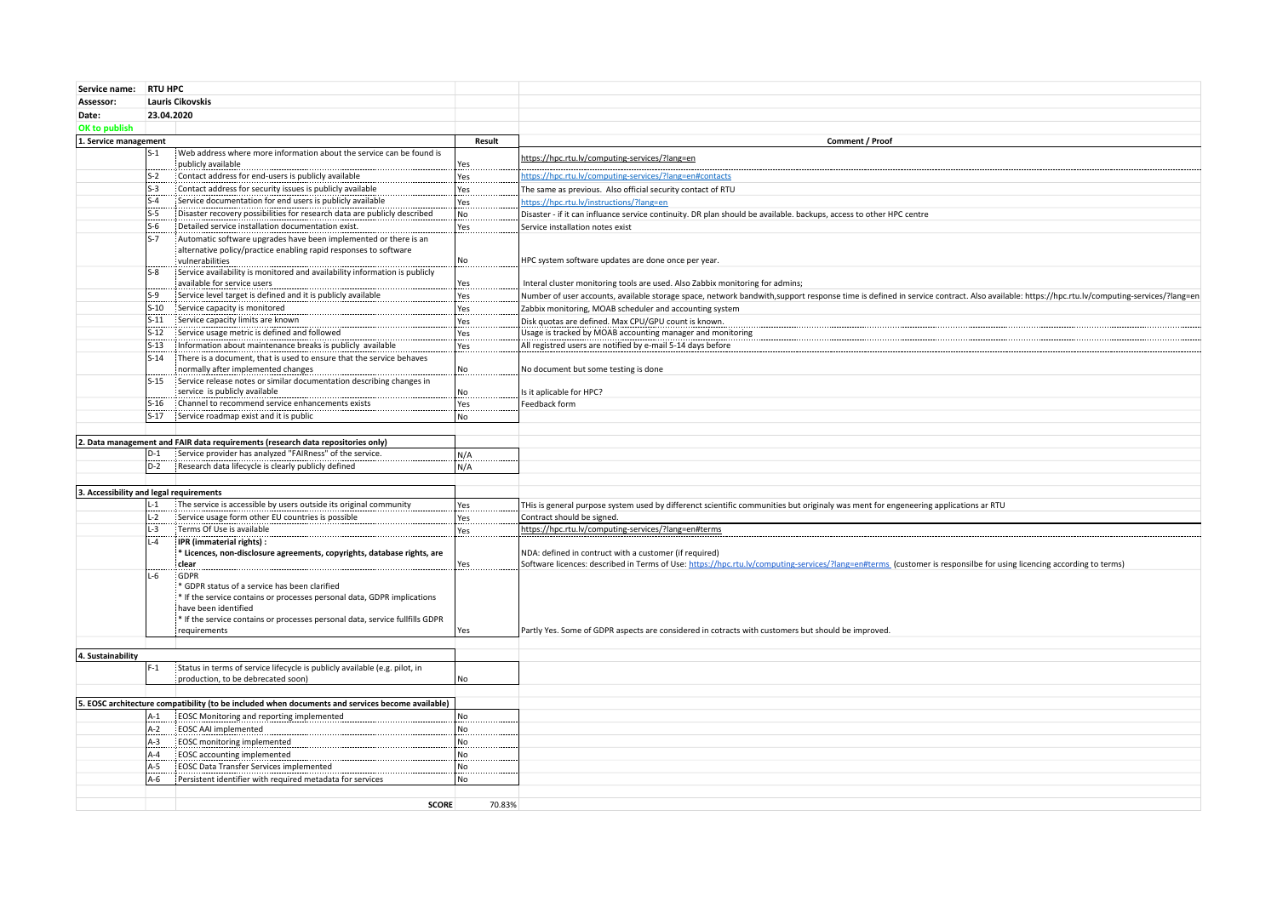| Service name:                           | <b>RTU HPC</b>         |                                                                                                                  |                |                                                                                                                                                                                         |
|-----------------------------------------|------------------------|------------------------------------------------------------------------------------------------------------------|----------------|-----------------------------------------------------------------------------------------------------------------------------------------------------------------------------------------|
| Assessor:                               |                        | <b>Lauris Cikovskis</b>                                                                                          |                |                                                                                                                                                                                         |
| Date:                                   | 23.04.2020             |                                                                                                                  |                |                                                                                                                                                                                         |
| OK to publish                           |                        |                                                                                                                  |                |                                                                                                                                                                                         |
| 1. Service management                   |                        |                                                                                                                  | Result         | Comment / Proof                                                                                                                                                                         |
|                                         | l S-1.                 | Web address where more information about the service can be found is                                             |                |                                                                                                                                                                                         |
|                                         |                        | publicly available                                                                                               | Yes            | https://hpc.rtu.lv/computing-services/?lang=en                                                                                                                                          |
|                                         | $S-2$                  | Contact address for end-users is publicly available                                                              | Yes            | https://hpc.rtu.lv/computing-services/?lang=en#contacts                                                                                                                                 |
|                                         | $S-3$                  | : Contact address for security issues is publicly available                                                      | Yes            | The same as previous. Also official security contact of RTU                                                                                                                             |
|                                         | $S-4$                  | Service documentation for end users is publicly available                                                        | Yes            | https://hpc.rtu.lv/instructions/?lang=en                                                                                                                                                |
|                                         | $S-5$                  | Disaster recovery possibilities for research data are publicly described                                         | No             | Disaster - if it can influance service continuity. DR plan should be available. backups, access to other HPC centre                                                                     |
|                                         | $S-6$                  | Detailed service installation documentation exist.                                                               | Yes            | Service installation notes exist                                                                                                                                                        |
|                                         | $S-7$                  | : Automatic software upgrades have been implemented or there is an                                               |                |                                                                                                                                                                                         |
|                                         |                        | alternative policy/practice enabling rapid responses to software                                                 |                |                                                                                                                                                                                         |
|                                         |                        | vulnerabilities                                                                                                  | No             | HPC system software updates are done once per year.                                                                                                                                     |
|                                         | $S-8$                  | Service availability is monitored and availability information is publicly<br>available for service users        |                |                                                                                                                                                                                         |
|                                         | $S-9$                  | Service level target is defined and it is publicly available                                                     | Yes            | Interal cluster monitoring tools are used. Also Zabbix monitoring for admins;                                                                                                           |
|                                         | $S-10$                 | Service capacity is monitored                                                                                    | Yes            | Number of user accounts, available storage space, network bandwith,support response time is defined in service contract. Also available: https://hpc.rtu.lv/computing-services/?lang=en |
|                                         | $S-11$                 | Service capacity limits are known                                                                                | Yes            | Zabbix monitoring, MOAB scheduler and accounting system                                                                                                                                 |
|                                         | $S-12$                 | Service usage metric is defined and followed                                                                     | Yes            | Disk quotas are defined. Max CPU/GPU count is known.<br>Usage is tracked by MOAB accounting manager and monitoring                                                                      |
|                                         | $S-13$                 | Information about maintenance breaks is publicly available                                                       | Yes<br>Yes     | All registred users are notified by e-mail 5-14 days before                                                                                                                             |
|                                         | $S-14$                 | There is a document, that is used to ensure that the service behaves                                             |                |                                                                                                                                                                                         |
|                                         |                        | normally after implemented changes                                                                               | No             | No document but some testing is done                                                                                                                                                    |
|                                         | $S-15$                 | Service release notes or similar documentation describing changes in                                             |                |                                                                                                                                                                                         |
|                                         |                        | service is publicly available                                                                                    | No             | Is it aplicable for HPC?                                                                                                                                                                |
|                                         | $S-16$                 | Channel to recommend service enhancements exists                                                                 | Yes            | Feedback form                                                                                                                                                                           |
|                                         | $S-17$                 | Service roadmap exist and it is public                                                                           | N <sub>o</sub> |                                                                                                                                                                                         |
|                                         |                        |                                                                                                                  |                |                                                                                                                                                                                         |
|                                         |                        | 2. Data management and FAIR data requirements (research data repositories only)                                  |                |                                                                                                                                                                                         |
|                                         | $D-1$                  | Service provider has analyzed "FAIRness" of the service.                                                         | N/A            |                                                                                                                                                                                         |
|                                         | D-2                    | Research data lifecycle is clearly publicly defined                                                              | N/A            |                                                                                                                                                                                         |
|                                         |                        |                                                                                                                  |                |                                                                                                                                                                                         |
| 3. Accessibility and legal requirements |                        |                                                                                                                  |                |                                                                                                                                                                                         |
|                                         | $L-1$                  | : The service is accessible by users outside its original community                                              | Yes            | THis is general purpose system used by differenct scientific communities but originaly was ment for engeneering applications ar RTU                                                     |
|                                         | $L-2$                  | Service usage form other EU countries is possible                                                                | Yes            | Contract should be signed.                                                                                                                                                              |
|                                         | $L-3$                  | Terms Of Use is available                                                                                        | Yes            | https://hpc.rtu.lv/computing-services/?lang=en#terms                                                                                                                                    |
|                                         | $L - 4$                | IPR (immaterial rights) :                                                                                        |                |                                                                                                                                                                                         |
|                                         |                        | * Licences, non-disclosure agreements, copyrights, database rights, are                                          |                | NDA: defined in contruct with a customer (if required)                                                                                                                                  |
|                                         |                        | clear                                                                                                            | Yes            | Software licences: described in Terms of Use: https://hpc.rtu.lv/computing-services/?lang=en#terms (customer is responsilbe for using licencing according to terms)                     |
|                                         | $L-6$                  | GDPR<br>* GDPR status of a service has been clarified                                                            |                |                                                                                                                                                                                         |
|                                         |                        | * If the service contains or processes personal data, GDPR implications                                          |                |                                                                                                                                                                                         |
|                                         |                        | have been identified                                                                                             |                |                                                                                                                                                                                         |
|                                         |                        | * If the service contains or processes personal data, service fullfills GDPR                                     |                |                                                                                                                                                                                         |
|                                         |                        | requirements                                                                                                     | Yes            | Partly Yes. Some of GDPR aspects are considered in cotracts with customers but should be improved.                                                                                      |
|                                         |                        |                                                                                                                  |                |                                                                                                                                                                                         |
| 4. Sustainability                       |                        |                                                                                                                  |                |                                                                                                                                                                                         |
|                                         | $F-1$                  | Status in terms of service lifecycle is publicly available (e.g. pilot, in<br>production, to be debrecated soon) | No             |                                                                                                                                                                                         |
|                                         |                        |                                                                                                                  |                |                                                                                                                                                                                         |
|                                         |                        | 5. EOSC architecture compatibility (to be included when documents and services become available)                 |                |                                                                                                                                                                                         |
|                                         | A-1                    | <b>EOSC Monitoring and reporting implemented</b>                                                                 | No             |                                                                                                                                                                                         |
|                                         | A-2                    | EOSC AAI implemented                                                                                             | No             |                                                                                                                                                                                         |
|                                         | l A-3                  | EOSC monitoring implemented                                                                                      | N <sub>o</sub> |                                                                                                                                                                                         |
|                                         | $A-4$                  | EOSC accounting implemented                                                                                      | No             |                                                                                                                                                                                         |
|                                         | A-5                    | EOSC Data Transfer Services implemented                                                                          | No             |                                                                                                                                                                                         |
|                                         | A-6                    | Persistent identifier with required metadata for services                                                        | No             |                                                                                                                                                                                         |
|                                         |                        |                                                                                                                  |                |                                                                                                                                                                                         |
|                                         | <b>SCORE</b><br>70.83% |                                                                                                                  |                |                                                                                                                                                                                         |